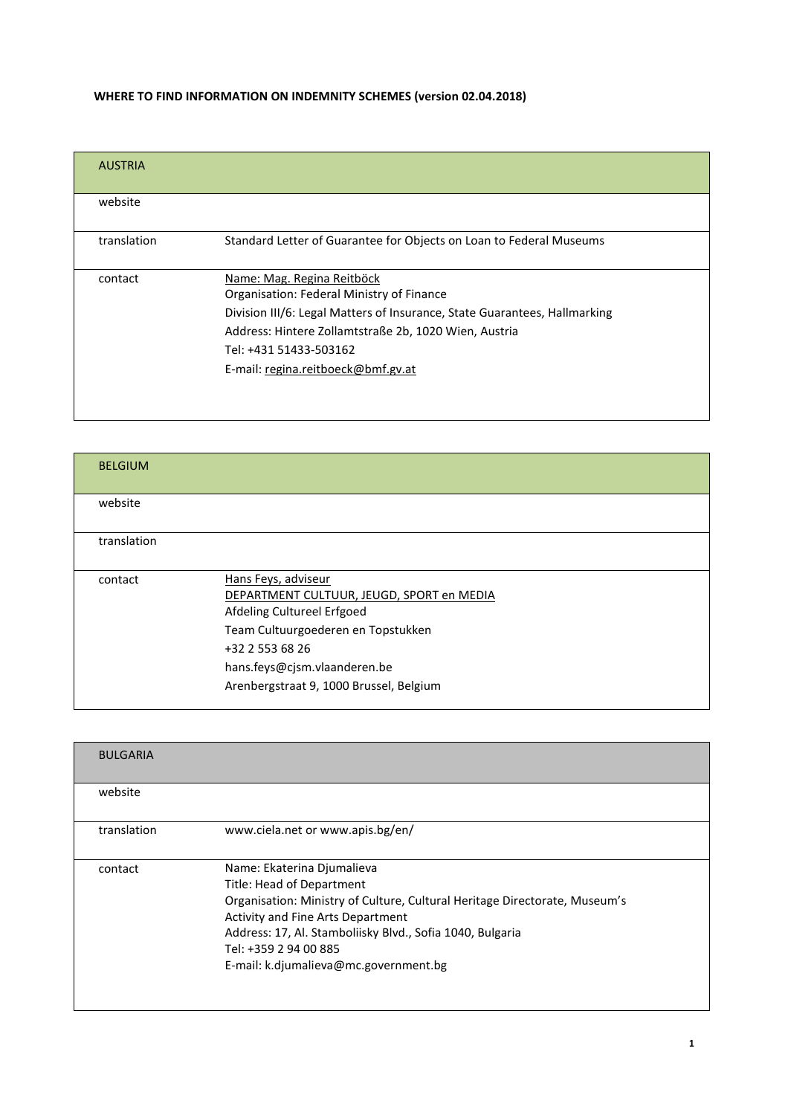## WHERE TO FIND INFORMATION ON INDEMNITY SCHEMES (version 02.04.2018)

| <b>AUSTRIA</b> |                                                                           |
|----------------|---------------------------------------------------------------------------|
| website        |                                                                           |
| translation    | Standard Letter of Guarantee for Objects on Loan to Federal Museums       |
| contact        | Name: Mag. Regina Reitböck                                                |
|                | Organisation: Federal Ministry of Finance                                 |
|                | Division III/6: Legal Matters of Insurance, State Guarantees, Hallmarking |
|                | Address: Hintere Zollamtstraße 2b, 1020 Wien, Austria                     |
|                | Tel: +431 51433-503162                                                    |
|                | E-mail: regina.reitboeck@bmf.gv.at                                        |
|                |                                                                           |
|                |                                                                           |

| <b>BELGIUM</b> |                                                                                                                                                                                                                                    |
|----------------|------------------------------------------------------------------------------------------------------------------------------------------------------------------------------------------------------------------------------------|
| website        |                                                                                                                                                                                                                                    |
| translation    |                                                                                                                                                                                                                                    |
| contact        | Hans Feys, adviseur<br>DEPARTMENT CULTUUR, JEUGD, SPORT en MEDIA<br>Afdeling Cultureel Erfgoed<br>Team Cultuurgoederen en Topstukken<br>+32 2 553 68 26<br>hans.feys@cjsm.vlaanderen.be<br>Arenbergstraat 9, 1000 Brussel, Belgium |

| <b>BULGARIA</b> |                                                                                                                                                                                                                                                                                                           |
|-----------------|-----------------------------------------------------------------------------------------------------------------------------------------------------------------------------------------------------------------------------------------------------------------------------------------------------------|
| website         |                                                                                                                                                                                                                                                                                                           |
| translation     | www.ciela.net or www.apis.bg/en/                                                                                                                                                                                                                                                                          |
| contact         | Name: Ekaterina Djumalieva<br>Title: Head of Department<br>Organisation: Ministry of Culture, Cultural Heritage Directorate, Museum's<br>Activity and Fine Arts Department<br>Address: 17, Al. Stamboliisky Blvd., Sofia 1040, Bulgaria<br>Tel: +359 2 94 00 885<br>E-mail: k.djumalieva@mc.government.bg |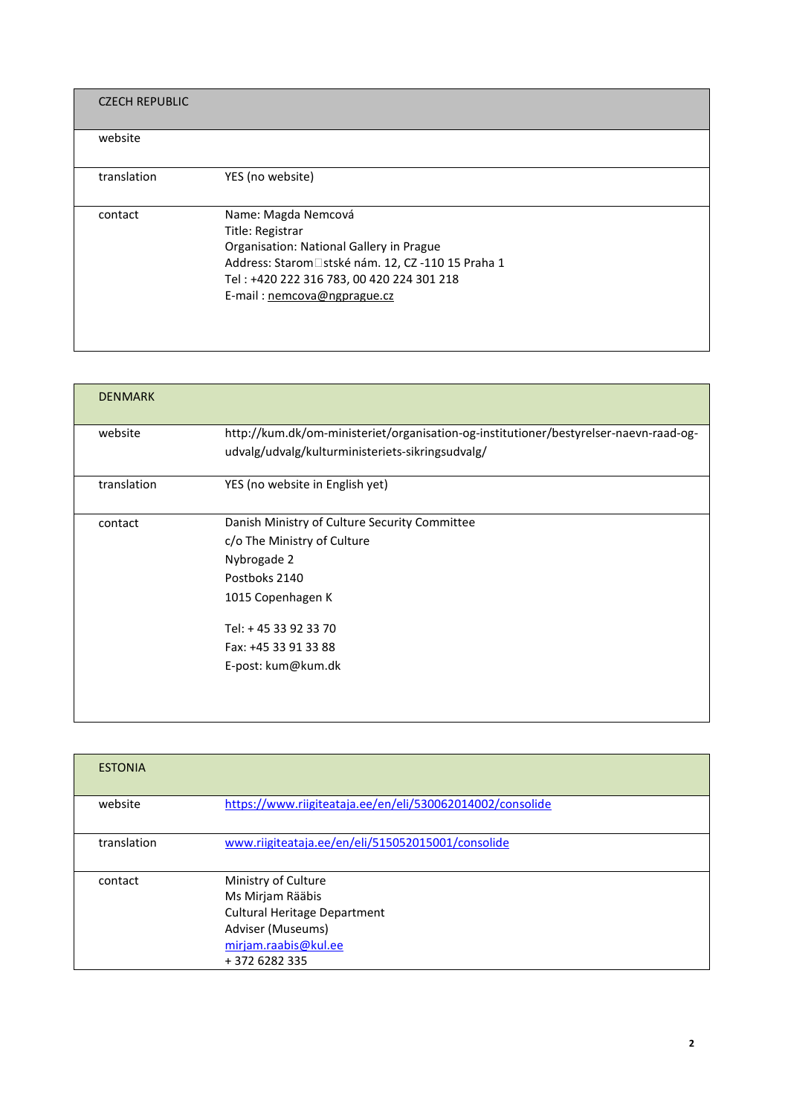| <b>CZECH REPUBLIC</b> |                                                                                                                                                                                                                      |
|-----------------------|----------------------------------------------------------------------------------------------------------------------------------------------------------------------------------------------------------------------|
| website               |                                                                                                                                                                                                                      |
| translation           | YES (no website)                                                                                                                                                                                                     |
| contact               | Name: Magda Nemcová<br>Title: Registrar<br>Organisation: National Gallery in Prague<br>Address: Starom stské nám. 12, CZ -110 15 Praha 1<br>Tel: +420 222 316 783, 00 420 224 301 218<br>E-mail: nemcova@ngprague.cz |

| <b>DENMARK</b> |                                                                                       |
|----------------|---------------------------------------------------------------------------------------|
| website        | http://kum.dk/om-ministeriet/organisation-og-institutioner/bestyrelser-naevn-raad-og- |
|                | udvalg/udvalg/kulturministeriets-sikringsudvalg/                                      |
| translation    | YES (no website in English yet)                                                       |
| contact        | Danish Ministry of Culture Security Committee                                         |
|                | c/o The Ministry of Culture                                                           |
|                | Nybrogade 2                                                                           |
|                | Postboks 2140                                                                         |
|                | 1015 Copenhagen K                                                                     |
|                | Tel: + 45 33 92 33 70                                                                 |
|                | Fax: +45 33 91 33 88                                                                  |
|                | E-post: kum@kum.dk                                                                    |
|                |                                                                                       |
|                |                                                                                       |

| <b>ESTONIA</b> |                                                                                                                                               |
|----------------|-----------------------------------------------------------------------------------------------------------------------------------------------|
| website        | https://www.riigiteataja.ee/en/eli/530062014002/consolide                                                                                     |
| translation    | www.riigiteataja.ee/en/eli/515052015001/consolide                                                                                             |
| contact        | Ministry of Culture<br>Ms Mirjam Rääbis<br><b>Cultural Heritage Department</b><br>Adviser (Museums)<br>mirjam.raabis@kul.ee<br>+ 372 6282 335 |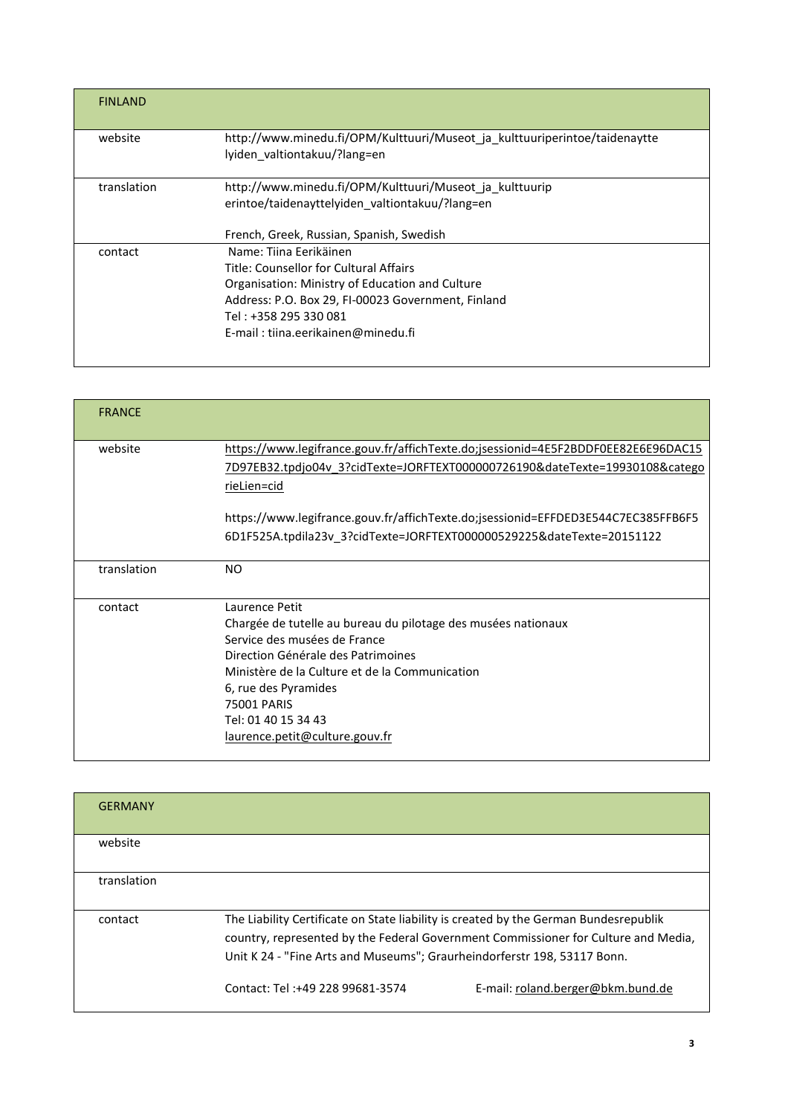| <b>FINLAND</b> |                                                                                                                                                                                                                                          |
|----------------|------------------------------------------------------------------------------------------------------------------------------------------------------------------------------------------------------------------------------------------|
| website        | http://www.minedu.fi/OPM/Kulttuuri/Museot_ja_kulttuuriperintoe/taidenaytte<br>lyiden valtiontakuu/?lang=en                                                                                                                               |
| translation    | http://www.minedu.fi/OPM/Kulttuuri/Museot ja kulttuurip<br>erintoe/taidenayttelyiden valtiontakuu/?lang=en                                                                                                                               |
|                | French, Greek, Russian, Spanish, Swedish                                                                                                                                                                                                 |
| contact        | Name: Tiina Ferikäinen<br>Title: Counsellor for Cultural Affairs<br>Organisation: Ministry of Education and Culture<br>Address: P.O. Box 29, FI-00023 Government, Finland<br>Tel: +358 295 330 081<br>E-mail: tiina.eerikainen@minedu.fi |

| <b>FRANCE</b> |                                                                                                                                                                                                                                                                                                         |
|---------------|---------------------------------------------------------------------------------------------------------------------------------------------------------------------------------------------------------------------------------------------------------------------------------------------------------|
| website       | https://www.legifrance.gouv.fr/affichTexte.do;jsessionid=4E5F2BDDF0EE82E6E96DAC15<br>7D97EB32.tpdjo04v 3?cidTexte=JORFTEXT000000726190&dateTexte=19930108&catego<br><u>rieLien=cid</u>                                                                                                                  |
|               | https://www.legifrance.gouv.fr/affichTexte.do;jsessionid=EFFDED3E544C7EC385FFB6F5                                                                                                                                                                                                                       |
|               | 6D1F525A.tpdila23v 3?cidTexte=JORFTEXT000000529225&dateTexte=20151122                                                                                                                                                                                                                                   |
| translation   | <b>NO</b>                                                                                                                                                                                                                                                                                               |
| contact       | Laurence Petit<br>Chargée de tutelle au bureau du pilotage des musées nationaux<br>Service des musées de France<br>Direction Générale des Patrimoines<br>Ministère de la Culture et de la Communication<br>6, rue des Pyramides<br>75001 PARIS<br>Tel: 01 40 15 34 43<br>laurence.petit@culture.gouv.fr |

| <b>GERMANY</b> |                                                                                                                                                                                                                                                        |                                   |
|----------------|--------------------------------------------------------------------------------------------------------------------------------------------------------------------------------------------------------------------------------------------------------|-----------------------------------|
| website        |                                                                                                                                                                                                                                                        |                                   |
| translation    |                                                                                                                                                                                                                                                        |                                   |
| contact        | The Liability Certificate on State liability is created by the German Bundesrepublik<br>country, represented by the Federal Government Commissioner for Culture and Media,<br>Unit K 24 - "Fine Arts and Museums"; Graurheindorferstr 198, 53117 Bonn. |                                   |
|                | Contact: Tel: +49 228 99681-3574                                                                                                                                                                                                                       | E-mail: roland.berger@bkm.bund.de |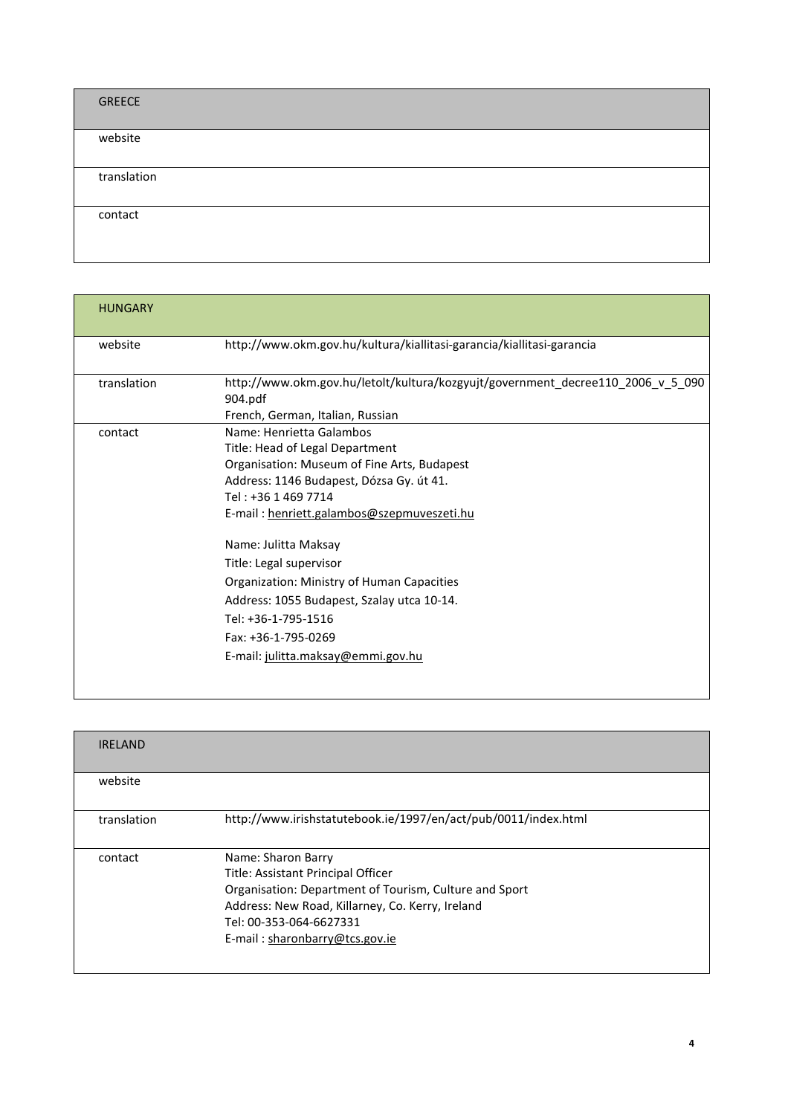| GREECE      |  |  |  |
|-------------|--|--|--|
| website     |  |  |  |
| translation |  |  |  |
| contact     |  |  |  |

| <b>HUNGARY</b> |                                                                                                                                                                                                                                                     |
|----------------|-----------------------------------------------------------------------------------------------------------------------------------------------------------------------------------------------------------------------------------------------------|
| website        | http://www.okm.gov.hu/kultura/kiallitasi-garancia/kiallitasi-garancia                                                                                                                                                                               |
| translation    | http://www.okm.gov.hu/letolt/kultura/kozgyujt/government decree110 2006 v 5 090<br>904.pdf<br>French, German, Italian, Russian                                                                                                                      |
| contact        | Name: Henrietta Galambos<br>Title: Head of Legal Department<br>Organisation: Museum of Fine Arts, Budapest<br>Address: 1146 Budapest, Dózsa Gy. út 41.<br>Tel: +36 1 469 7714<br>E-mail: henriett.galambos@szepmuveszeti.hu<br>Name: Julitta Maksay |
|                | Title: Legal supervisor<br>Organization: Ministry of Human Capacities<br>Address: 1055 Budapest, Szalay utca 10-14.<br>Tel: +36-1-795-1516<br>Fax: +36-1-795-0269<br>E-mail: julitta.maksay@emmi.gov.hu                                             |

| <b>IRELAND</b> |                                                                                                                                                                                                                                     |
|----------------|-------------------------------------------------------------------------------------------------------------------------------------------------------------------------------------------------------------------------------------|
| website        |                                                                                                                                                                                                                                     |
| translation    | http://www.irishstatutebook.ie/1997/en/act/pub/0011/index.html                                                                                                                                                                      |
| contact        | Name: Sharon Barry<br>Title: Assistant Principal Officer<br>Organisation: Department of Tourism, Culture and Sport<br>Address: New Road, Killarney, Co. Kerry, Ireland<br>Tel: 00-353-064-6627331<br>E-mail: sharonbarry@tcs.gov.ie |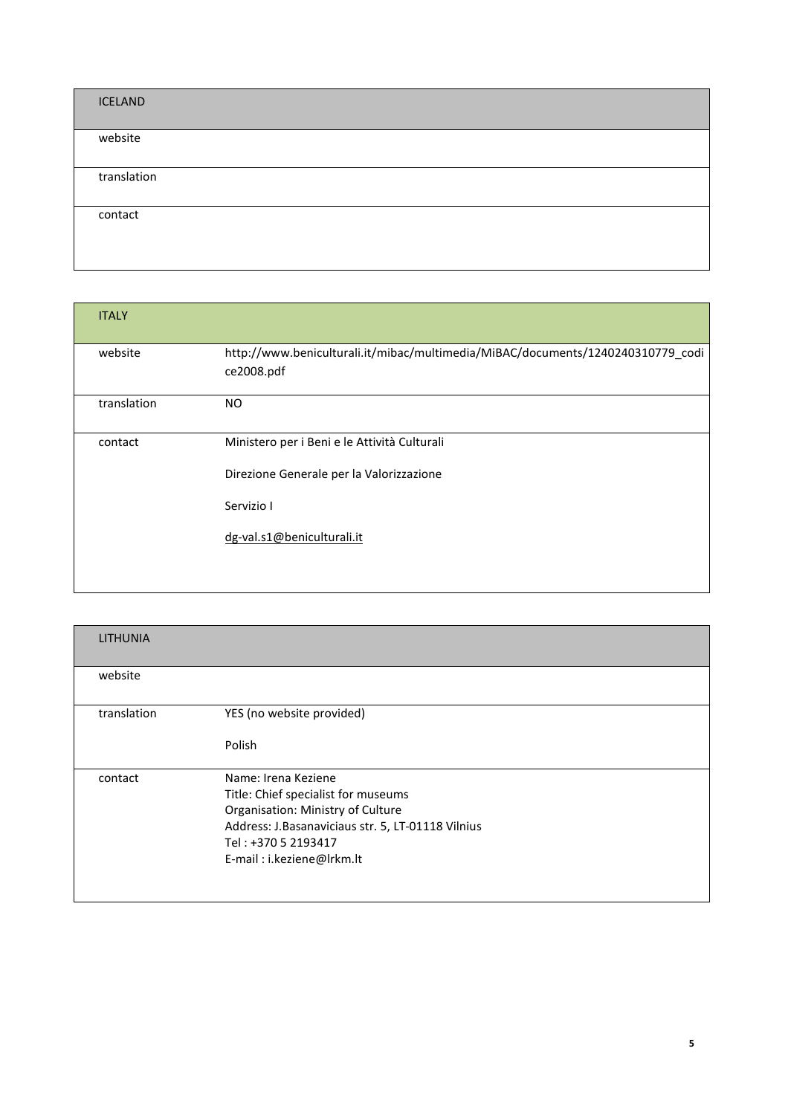| <b>ICELAND</b> |  |  |
|----------------|--|--|
| website        |  |  |
| translation    |  |  |
| contact        |  |  |

| <b>ITALY</b> |                                                                                               |
|--------------|-----------------------------------------------------------------------------------------------|
| website      | http://www.beniculturali.it/mibac/multimedia/MiBAC/documents/1240240310779_codi<br>ce2008.pdf |
| translation  | NO.                                                                                           |
| contact      | Ministero per i Beni e le Attività Culturali                                                  |
|              | Direzione Generale per la Valorizzazione                                                      |
|              | Servizio I                                                                                    |
|              | dg-val.s1@beniculturali.it                                                                    |
|              |                                                                                               |

| <b>LITHUNIA</b> |                                                                                                                                                                                                          |
|-----------------|----------------------------------------------------------------------------------------------------------------------------------------------------------------------------------------------------------|
| website         |                                                                                                                                                                                                          |
| translation     | YES (no website provided)                                                                                                                                                                                |
|                 | Polish                                                                                                                                                                                                   |
| contact         | Name: Irena Keziene<br>Title: Chief specialist for museums<br>Organisation: Ministry of Culture<br>Address: J.Basanaviciaus str. 5, LT-01118 Vilnius<br>Tel: +370 5 2193417<br>E-mail: i.keziene@Irkm.lt |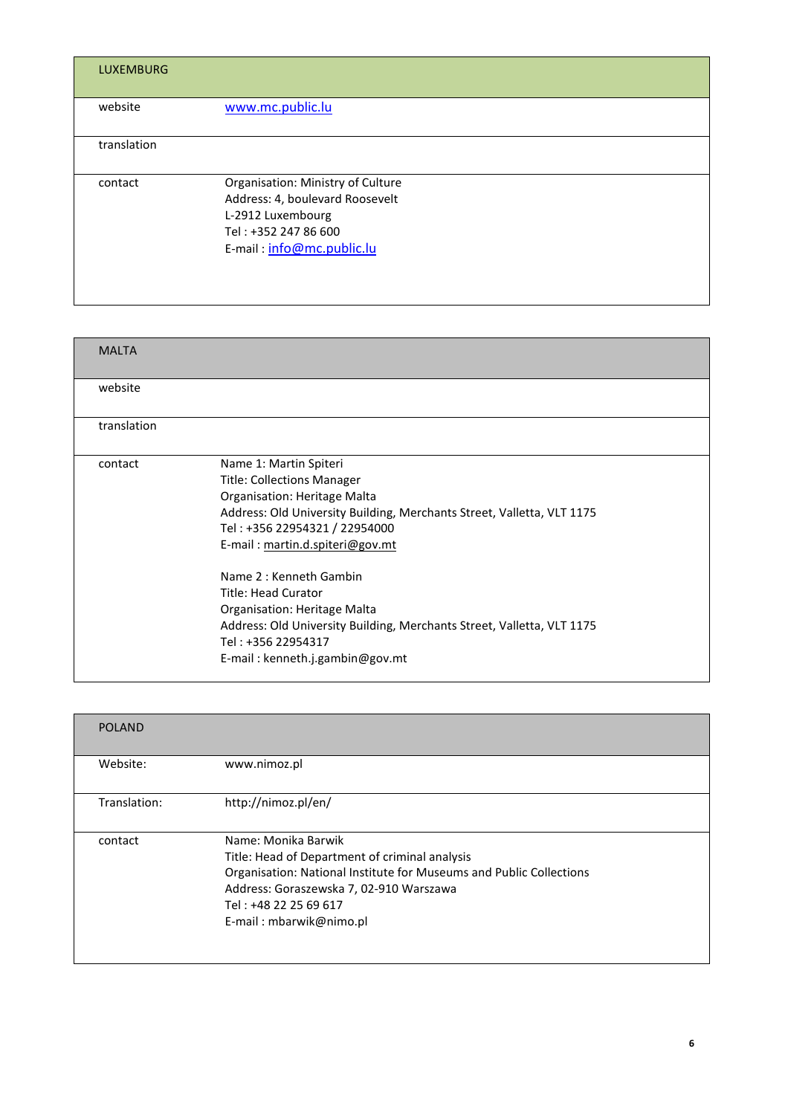| <b>LUXEMBURG</b> |                                                                                                                                                |
|------------------|------------------------------------------------------------------------------------------------------------------------------------------------|
| website          | www.mc.public.lu                                                                                                                               |
| translation      |                                                                                                                                                |
| contact          | Organisation: Ministry of Culture<br>Address: 4, boulevard Roosevelt<br>L-2912 Luxembourg<br>Tel: +352 247 86 600<br>E-mail: info@mc.public.lu |

| <b>MALTA</b> |                                                                                                                                                                                                                                                                                                                                                                                                                                                               |
|--------------|---------------------------------------------------------------------------------------------------------------------------------------------------------------------------------------------------------------------------------------------------------------------------------------------------------------------------------------------------------------------------------------------------------------------------------------------------------------|
| website      |                                                                                                                                                                                                                                                                                                                                                                                                                                                               |
| translation  |                                                                                                                                                                                                                                                                                                                                                                                                                                                               |
| contact      | Name 1: Martin Spiteri<br><b>Title: Collections Manager</b><br>Organisation: Heritage Malta<br>Address: Old University Building, Merchants Street, Valletta, VLT 1175<br>Tel: +356 22954321 / 22954000<br>E-mail: martin.d.spiteri@gov.mt<br>Name 2: Kenneth Gambin<br>Title: Head Curator<br>Organisation: Heritage Malta<br>Address: Old University Building, Merchants Street, Valletta, VLT 1175<br>Tel: +356 22954317<br>E-mail: kenneth.j.gambin@gov.mt |

| <b>POLAND</b> |                                                                                                                                                                                                                                             |
|---------------|---------------------------------------------------------------------------------------------------------------------------------------------------------------------------------------------------------------------------------------------|
| Website:      | www.nimoz.pl                                                                                                                                                                                                                                |
| Translation:  | http://nimoz.pl/en/                                                                                                                                                                                                                         |
| contact       | Name: Monika Barwik<br>Title: Head of Department of criminal analysis<br>Organisation: National Institute for Museums and Public Collections<br>Address: Goraszewska 7, 02-910 Warszawa<br>Tel: +48 22 25 69 617<br>E-mail: mbarwik@nimo.pl |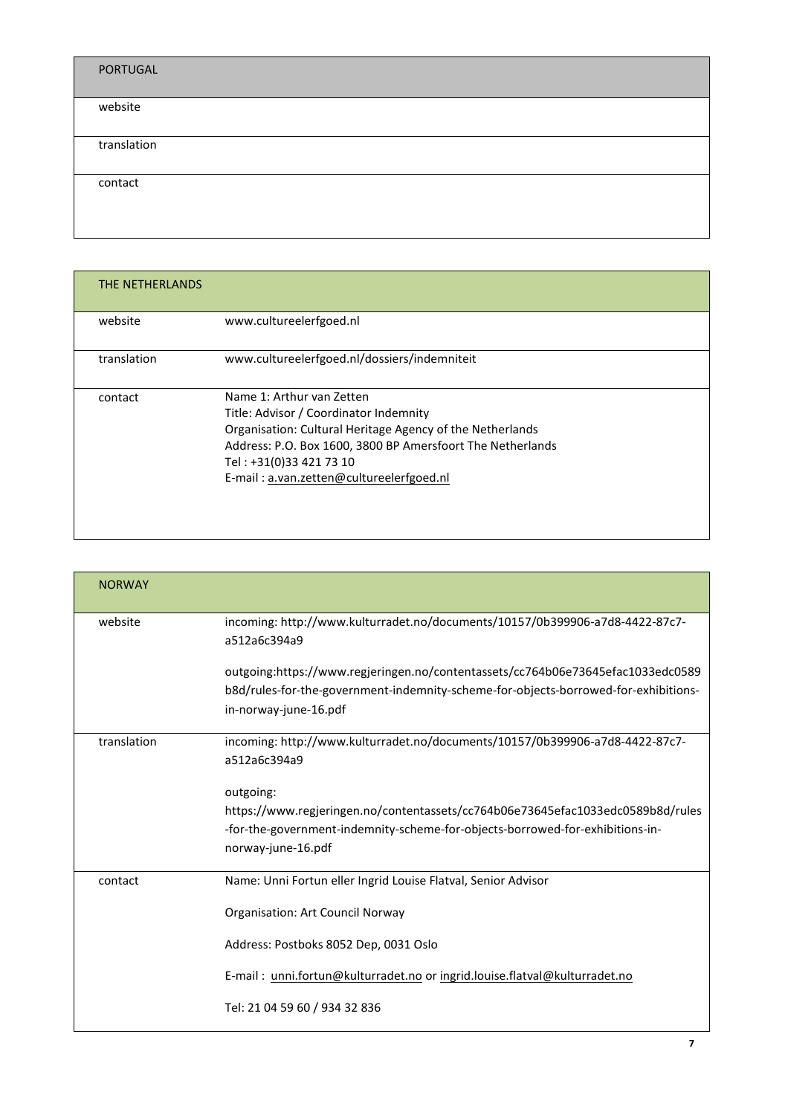| PORTUGAL    |  |  |
|-------------|--|--|
| website     |  |  |
| translation |  |  |
| contact     |  |  |

| THE NETHERLANDS |                                                                                                                                                                                                                                                                       |
|-----------------|-----------------------------------------------------------------------------------------------------------------------------------------------------------------------------------------------------------------------------------------------------------------------|
| website         | www.cultureelerfgoed.nl                                                                                                                                                                                                                                               |
| translation     | www.cultureelerfgoed.nl/dossiers/indemniteit                                                                                                                                                                                                                          |
| contact         | Name 1: Arthur van Zetten<br>Title: Advisor / Coordinator Indemnity<br>Organisation: Cultural Heritage Agency of the Netherlands<br>Address: P.O. Box 1600, 3800 BP Amersfoort The Netherlands<br>Tel: +31(0)33 421 73 10<br>E-mail: a.van.zetten@cultureelerfgoed.nl |

| <b>NORWAY</b> |                                                                                                                                                                                                     |
|---------------|-----------------------------------------------------------------------------------------------------------------------------------------------------------------------------------------------------|
| website       | incoming: http://www.kulturradet.no/documents/10157/0b399906-a7d8-4422-87c7-<br>a512a6c394a9                                                                                                        |
|               | outgoing:https://www.regjeringen.no/contentassets/cc764b06e73645efac1033edc0589<br>b8d/rules-for-the-government-indemnity-scheme-for-objects-borrowed-for-exhibitions-<br>in-norway-june-16.pdf     |
| translation   | incoming: http://www.kulturradet.no/documents/10157/0b399906-a7d8-4422-87c7-<br>a512a6c394a9                                                                                                        |
|               | outgoing:<br>https://www.regjeringen.no/contentassets/cc764b06e73645efac1033edc0589b8d/rules<br>-for-the-government-indemnity-scheme-for-objects-borrowed-for-exhibitions-in-<br>norway-june-16.pdf |
| contact       | Name: Unni Fortun eller Ingrid Louise Flatval, Senior Advisor<br><b>Organisation: Art Council Norway</b>                                                                                            |
|               | Address: Postboks 8052 Dep, 0031 Oslo<br>E-mail: unni.fortun@kulturradet.no or ingrid.louise.flatval@kulturradet.no<br>Tel: 21 04 59 60 / 934 32 836                                                |
|               | 7                                                                                                                                                                                                   |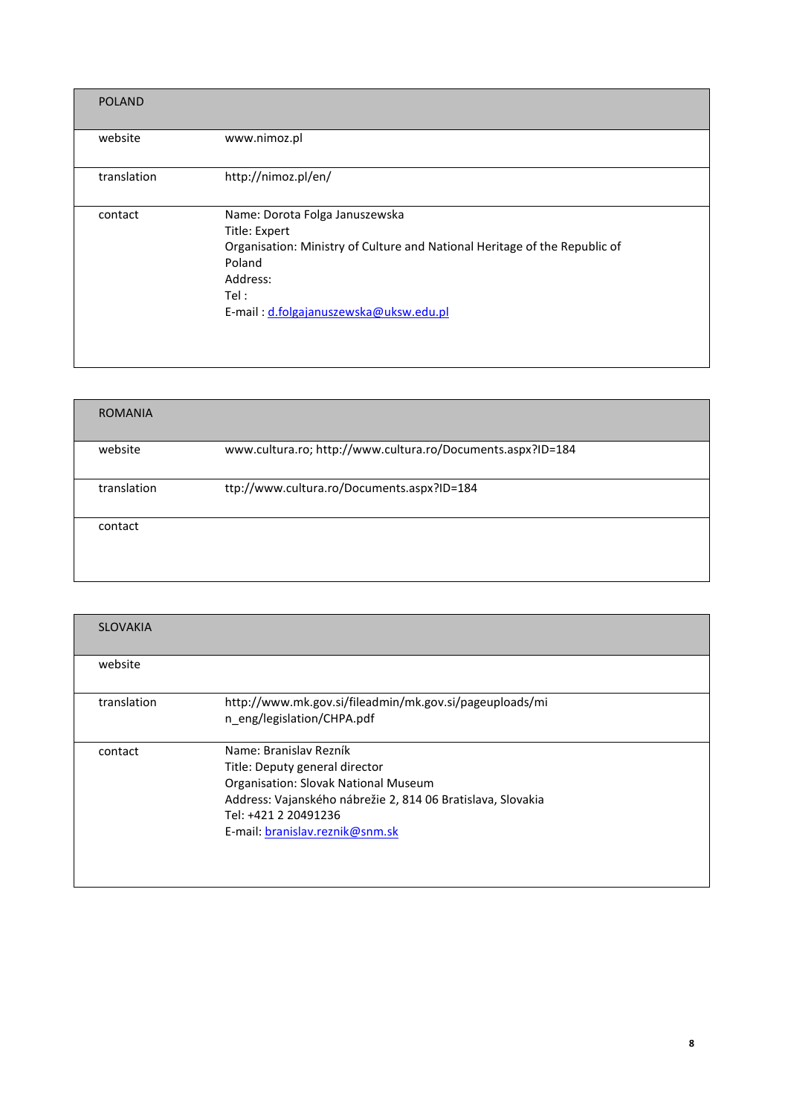| <b>POLAND</b> |                                                                                                                                                                                                       |
|---------------|-------------------------------------------------------------------------------------------------------------------------------------------------------------------------------------------------------|
| website       | www.nimoz.pl                                                                                                                                                                                          |
| translation   | http://nimoz.pl/en/                                                                                                                                                                                   |
| contact       | Name: Dorota Folga Januszewska<br>Title: Expert<br>Organisation: Ministry of Culture and National Heritage of the Republic of<br>Poland<br>Address:<br>Tel:<br>E-mail: d.folgajanuszewska@uksw.edu.pl |

| <b>ROMANIA</b> |                                                             |  |
|----------------|-------------------------------------------------------------|--|
| website        | www.cultura.ro; http://www.cultura.ro/Documents.aspx?ID=184 |  |
| translation    | ttp://www.cultura.ro/Documents.aspx?ID=184                  |  |
| contact        |                                                             |  |
|                |                                                             |  |

| <b>SLOVAKIA</b> |                                                                                                                                                                                                                            |
|-----------------|----------------------------------------------------------------------------------------------------------------------------------------------------------------------------------------------------------------------------|
| website         |                                                                                                                                                                                                                            |
| translation     | http://www.mk.gov.si/fileadmin/mk.gov.si/pageuploads/mi<br>n eng/legislation/CHPA.pdf                                                                                                                                      |
| contact         | Name: Branislav Rezník<br>Title: Deputy general director<br>Organisation: Slovak National Museum<br>Address: Vajanského nábrežie 2, 814 06 Bratislava, Slovakia<br>Tel: +421 2 20491236<br>E-mail: branislav.reznik@snm.sk |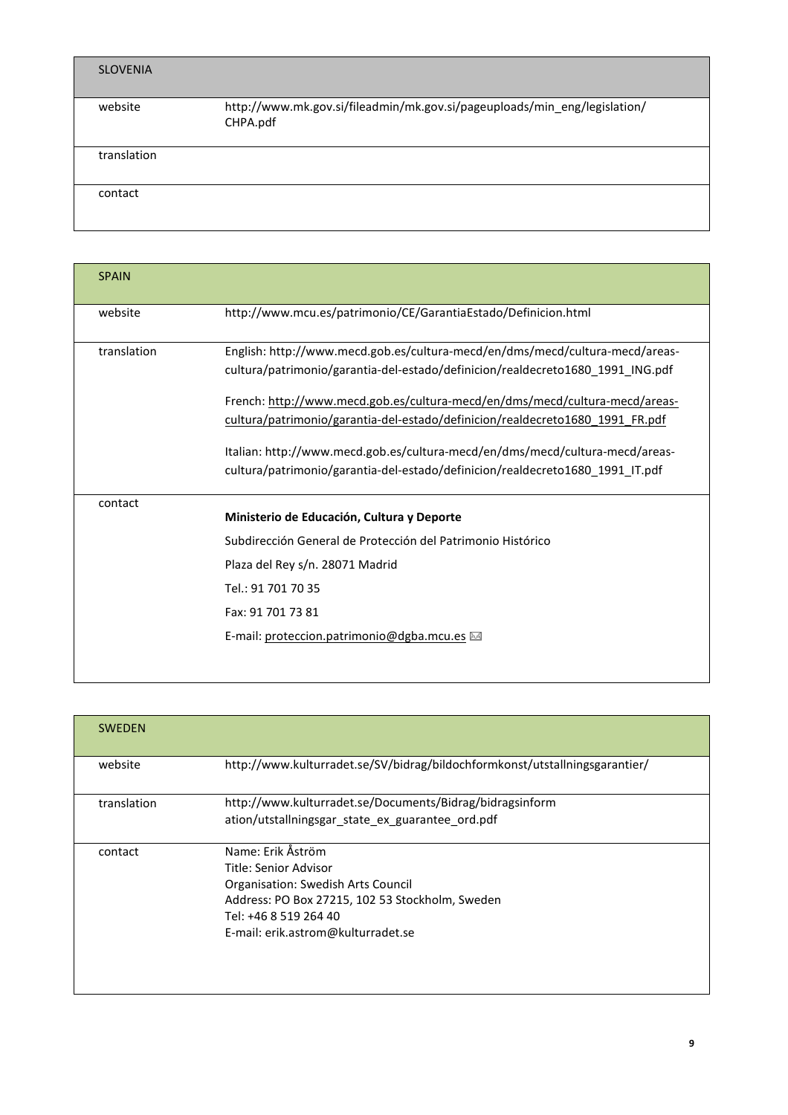| <b>SLOVENIA</b> |                                                                                       |
|-----------------|---------------------------------------------------------------------------------------|
| website         | http://www.mk.gov.si/fileadmin/mk.gov.si/pageuploads/min_eng/legislation/<br>CHPA.pdf |
| translation     |                                                                                       |
| contact         |                                                                                       |

| <b>SPAIN</b> |                                                                                                                                                                                                                                                                                                                                                                                                                                                                                                 |
|--------------|-------------------------------------------------------------------------------------------------------------------------------------------------------------------------------------------------------------------------------------------------------------------------------------------------------------------------------------------------------------------------------------------------------------------------------------------------------------------------------------------------|
| website      | http://www.mcu.es/patrimonio/CE/GarantiaEstado/Definicion.html                                                                                                                                                                                                                                                                                                                                                                                                                                  |
| translation  | English: http://www.mecd.gob.es/cultura-mecd/en/dms/mecd/cultura-mecd/areas-<br>cultura/patrimonio/garantia-del-estado/definicion/realdecreto1680_1991_ING.pdf<br>French: http://www.mecd.gob.es/cultura-mecd/en/dms/mecd/cultura-mecd/areas-<br>cultura/patrimonio/garantia-del-estado/definicion/realdecreto1680 1991 FR.pdf<br>Italian: http://www.mecd.gob.es/cultura-mecd/en/dms/mecd/cultura-mecd/areas-<br>cultura/patrimonio/garantia-del-estado/definicion/realdecreto1680_1991_IT.pdf |
| contact      | Ministerio de Educación, Cultura y Deporte<br>Subdirección General de Protección del Patrimonio Histórico<br>Plaza del Rey s/n. 28071 Madrid<br>Tel.: 91 701 70 35<br>Fax: 91 701 73 81<br>E-mail: proteccion.patrimonio@dgba.mcu.es                                                                                                                                                                                                                                                            |

| <b>SWEDEN</b> |                                                                                                                                                                                                    |
|---------------|----------------------------------------------------------------------------------------------------------------------------------------------------------------------------------------------------|
| website       | http://www.kulturradet.se/SV/bidrag/bildochformkonst/utstallningsgarantier/                                                                                                                        |
| translation   | http://www.kulturradet.se/Documents/Bidrag/bidragsinform<br>ation/utstallningsgar state ex guarantee ord.pdf                                                                                       |
| contact       | Name: Erik Åström<br>Title: Senior Advisor<br>Organisation: Swedish Arts Council<br>Address: PO Box 27215, 102 53 Stockholm, Sweden<br>Tel: +46 8 519 264 40<br>E-mail: erik.astrom@kulturradet.se |